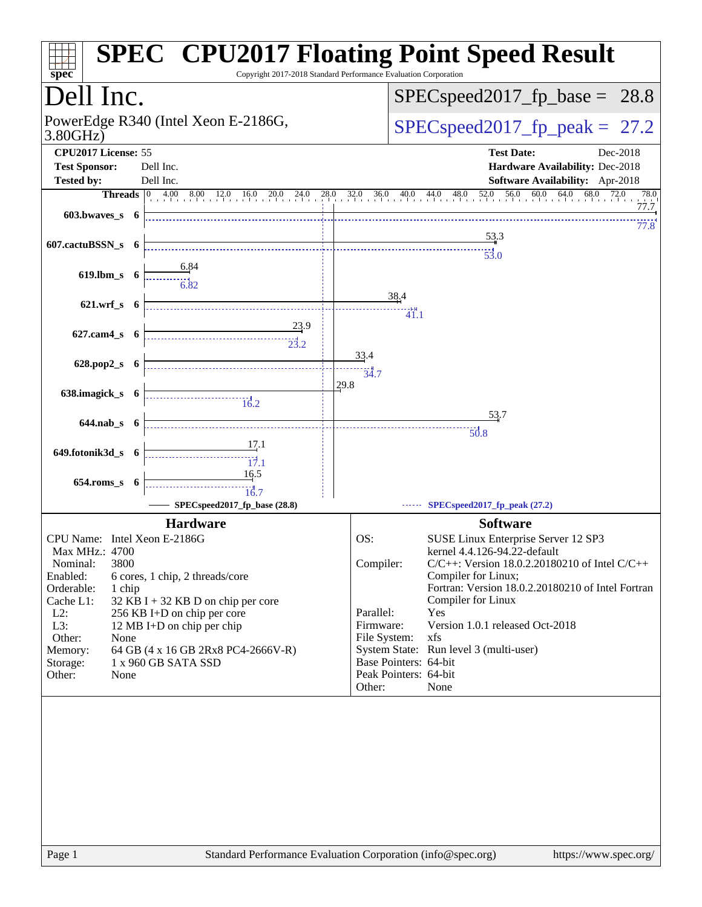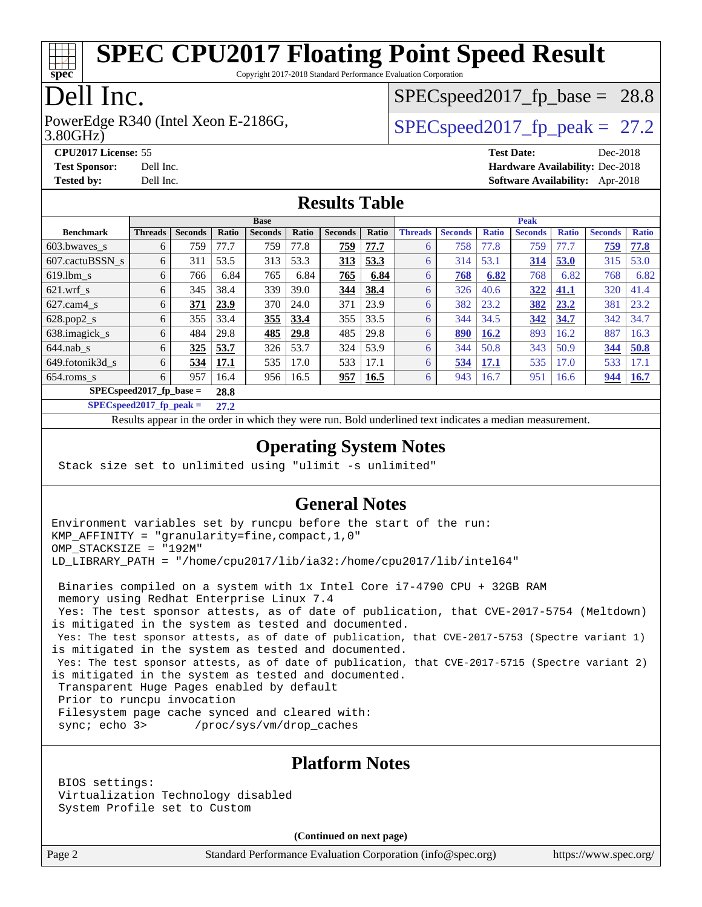

Copyright 2017-2018 Standard Performance Evaluation Corporation

## Dell Inc.

3.80GHz) PowerEdge R340 (Intel Xeon E-2186G,  $\vert$  [SPECspeed2017\\_fp\\_peak =](http://www.spec.org/auto/cpu2017/Docs/result-fields.html#SPECspeed2017fppeak) 27.2

 $SPECspeed2017<sub>fp</sub> base = 28.8$ 

**[CPU2017 License:](http://www.spec.org/auto/cpu2017/Docs/result-fields.html#CPU2017License)** 55 **[Test Date:](http://www.spec.org/auto/cpu2017/Docs/result-fields.html#TestDate)** Dec-2018 **[Test Sponsor:](http://www.spec.org/auto/cpu2017/Docs/result-fields.html#TestSponsor)** Dell Inc. **[Hardware Availability:](http://www.spec.org/auto/cpu2017/Docs/result-fields.html#HardwareAvailability)** Dec-2018 **[Tested by:](http://www.spec.org/auto/cpu2017/Docs/result-fields.html#Testedby)** Dell Inc. **[Software Availability:](http://www.spec.org/auto/cpu2017/Docs/result-fields.html#SoftwareAvailability)** Apr-2018

#### **[Results Table](http://www.spec.org/auto/cpu2017/Docs/result-fields.html#ResultsTable)**

|                                    | <b>Base</b>    |                |              |                |       |                |       | <b>Peak</b>    |                |              |                |              |                |              |
|------------------------------------|----------------|----------------|--------------|----------------|-------|----------------|-------|----------------|----------------|--------------|----------------|--------------|----------------|--------------|
| <b>Benchmark</b>                   | <b>Threads</b> | <b>Seconds</b> | <b>Ratio</b> | <b>Seconds</b> | Ratio | <b>Seconds</b> | Ratio | <b>Threads</b> | <b>Seconds</b> | <b>Ratio</b> | <b>Seconds</b> | <b>Ratio</b> | <b>Seconds</b> | <b>Ratio</b> |
| $603.bwaves$ s                     | 6              | 759            | 77.7         | 759            | 77.8  | 759            | 77.7  |                | 758            | 77.8         | 759            | 77.7         | 759            | 77.8         |
| 607.cactuBSSN s                    | 6              | 311            | 53.5         | 313            | 53.3  | 313            | 53.3  | 6              | 314            | 53.1         | 314            | 53.0         | 315            | 53.0         |
| $619.1$ bm s                       | 6              | 766            | 6.84         | 765            | 6.84  | 765            | 6.84  | 6              | 768            | 6.82         | 768            | 6.82         | 768            | 6.82         |
| $621$ .wrf s                       | 6              | 345            | 38.4         | 339            | 39.0  | 344            | 38.4  | 6              | 326            | 40.6         | 322            | 41.1         | 320            | 41.4         |
| $627$ .cam $4 \text{ s}$           | 6              | 371            | 23.9         | 370            | 24.0  | 371            | 23.9  | 6              | 382            | 23.2         | 382            | 23.2         | 381            | 23.2         |
| $628.pop2_s$                       | 6              | 355            | 33.4         | 355            | 33.4  | 355            | 33.5  | 6              | 344            | 34.5         | 342            | 34.7         | 342            | 34.7         |
| 638.imagick_s                      | 6              | 484            | 29.8         | 485            | 29.8  | 485            | 29.8  | 6              | 890            | 16.2         | 893            | 16.2         | 887            | 16.3         |
| $644$ .nab s                       | 6              | 325            | 53.7         | 326            | 53.7  | 324            | 53.9  | 6              | 344            | 50.8         | 343            | 50.9         | 344            | 50.8         |
| 649.fotonik3d s                    | 6              | 534            | 17.1         | 535            | 17.0  | 533            | 17.1  | 6              | 534            | 17.1         | 535            | 17.0         | 533            | 17.1         |
| $654$ .roms s                      | 6              | 957            | 16.4         | 956            | 16.5  | 957            | 16.5  | 6              | 943            | 16.7         | 951            | 16.6         | 944            | <u>16.7</u>  |
| $SPEC speed2017$ fp base =<br>28.8 |                |                |              |                |       |                |       |                |                |              |                |              |                |              |

**[SPECspeed2017\\_fp\\_peak =](http://www.spec.org/auto/cpu2017/Docs/result-fields.html#SPECspeed2017fppeak) 27.2**

Results appear in the [order in which they were run.](http://www.spec.org/auto/cpu2017/Docs/result-fields.html#RunOrder) Bold underlined text [indicates a median measurement](http://www.spec.org/auto/cpu2017/Docs/result-fields.html#Median).

#### **[Operating System Notes](http://www.spec.org/auto/cpu2017/Docs/result-fields.html#OperatingSystemNotes)**

Stack size set to unlimited using "ulimit -s unlimited"

#### **[General Notes](http://www.spec.org/auto/cpu2017/Docs/result-fields.html#GeneralNotes)**

Environment variables set by runcpu before the start of the run: KMP\_AFFINITY = "granularity=fine,compact,1,0" OMP\_STACKSIZE = "192M" LD\_LIBRARY\_PATH = "/home/cpu2017/lib/ia32:/home/cpu2017/lib/intel64"

 Binaries compiled on a system with 1x Intel Core i7-4790 CPU + 32GB RAM memory using Redhat Enterprise Linux 7.4

 Yes: The test sponsor attests, as of date of publication, that CVE-2017-5754 (Meltdown) is mitigated in the system as tested and documented.

 Yes: The test sponsor attests, as of date of publication, that CVE-2017-5753 (Spectre variant 1) is mitigated in the system as tested and documented.

 Yes: The test sponsor attests, as of date of publication, that CVE-2017-5715 (Spectre variant 2) is mitigated in the system as tested and documented. Transparent Huge Pages enabled by default

Prior to runcpu invocation

Filesystem page cache synced and cleared with:

sync; echo 3> /proc/sys/vm/drop\_caches

#### **[Platform Notes](http://www.spec.org/auto/cpu2017/Docs/result-fields.html#PlatformNotes)**

 BIOS settings: Virtualization Technology disabled System Profile set to Custom

**(Continued on next page)**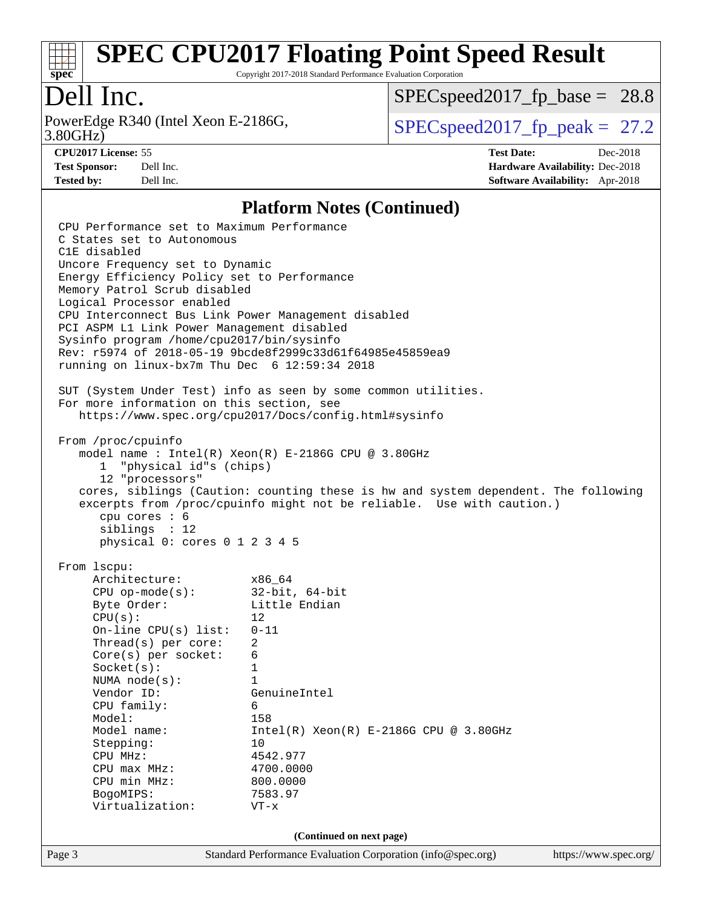

Copyright 2017-2018 Standard Performance Evaluation Corporation

# Dell Inc.

3.80GHz) PowerEdge R340 (Intel Xeon E-2186G,  $\text{SPEC speed2017\_fp\_peak} = 27.2$ 

[SPECspeed2017\\_fp\\_base =](http://www.spec.org/auto/cpu2017/Docs/result-fields.html#SPECspeed2017fpbase) 28.8

**[CPU2017 License:](http://www.spec.org/auto/cpu2017/Docs/result-fields.html#CPU2017License)** 55 **[Test Date:](http://www.spec.org/auto/cpu2017/Docs/result-fields.html#TestDate)** Dec-2018 **[Test Sponsor:](http://www.spec.org/auto/cpu2017/Docs/result-fields.html#TestSponsor)** Dell Inc. **[Hardware Availability:](http://www.spec.org/auto/cpu2017/Docs/result-fields.html#HardwareAvailability)** Dec-2018 **[Tested by:](http://www.spec.org/auto/cpu2017/Docs/result-fields.html#Testedby)** Dell Inc. **[Software Availability:](http://www.spec.org/auto/cpu2017/Docs/result-fields.html#SoftwareAvailability)** Apr-2018

### **[Platform Notes \(Continued\)](http://www.spec.org/auto/cpu2017/Docs/result-fields.html#PlatformNotes)**

|                          | Page 3                                                                                  | Standard Performance Evaluation Corporation (info@spec.org)                        | https://www.spec.org/ |  |  |
|--------------------------|-----------------------------------------------------------------------------------------|------------------------------------------------------------------------------------|-----------------------|--|--|
| (Continued on next page) |                                                                                         |                                                                                    |                       |  |  |
|                          | Virtualization:                                                                         | $VT - x$                                                                           |                       |  |  |
|                          | BogoMIPS:                                                                               | 7583.97                                                                            |                       |  |  |
|                          | CPU min MHz:                                                                            | 800.0000                                                                           |                       |  |  |
|                          | CPU max MHz:                                                                            | 4700.0000                                                                          |                       |  |  |
|                          | Stepping:<br>CPU MHz:                                                                   | 10<br>4542.977                                                                     |                       |  |  |
|                          | Model name:                                                                             | $Intel(R) Xeon(R) E-2186G CPU @ 3.80GHz$                                           |                       |  |  |
|                          | Model:                                                                                  | 158                                                                                |                       |  |  |
|                          | CPU family:                                                                             | 6                                                                                  |                       |  |  |
|                          | Vendor ID:                                                                              | GenuineIntel                                                                       |                       |  |  |
|                          | NUMA node(s):                                                                           | $\mathbf{1}$                                                                       |                       |  |  |
|                          | Socket(s):                                                                              | $\mathbf{1}$                                                                       |                       |  |  |
|                          | $Core(s)$ per socket:                                                                   | 6                                                                                  |                       |  |  |
|                          | Thread(s) per core:                                                                     | 2                                                                                  |                       |  |  |
|                          | On-line $CPU(s)$ list:                                                                  | $0 - 11$                                                                           |                       |  |  |
|                          | CPU(s):                                                                                 | 12                                                                                 |                       |  |  |
|                          | Byte Order:                                                                             | Little Endian                                                                      |                       |  |  |
|                          | $CPU$ op-mode(s):                                                                       | 32-bit, 64-bit                                                                     |                       |  |  |
|                          | From 1scpu:<br>Architecture:                                                            | $x86\_64$                                                                          |                       |  |  |
|                          |                                                                                         |                                                                                    |                       |  |  |
|                          | cpu cores $: 6$<br>siblings : 12<br>physical 0: cores 0 1 2 3 4 5                       |                                                                                    |                       |  |  |
|                          |                                                                                         | excerpts from /proc/cpuinfo might not be reliable. Use with caution.)              |                       |  |  |
|                          |                                                                                         | cores, siblings (Caution: counting these is hw and system dependent. The following |                       |  |  |
|                          | 12 "processors"                                                                         |                                                                                    |                       |  |  |
|                          | "physical id"s (chips)<br>ı.                                                            |                                                                                    |                       |  |  |
|                          |                                                                                         | model name : Intel(R) Xeon(R) E-2186G CPU @ 3.80GHz                                |                       |  |  |
|                          | From /proc/cpuinfo                                                                      |                                                                                    |                       |  |  |
|                          |                                                                                         | https://www.spec.org/cpu2017/Docs/config.html#sysinfo                              |                       |  |  |
|                          | For more information on this section, see                                               |                                                                                    |                       |  |  |
|                          |                                                                                         | SUT (System Under Test) info as seen by some common utilities.                     |                       |  |  |
|                          |                                                                                         |                                                                                    |                       |  |  |
|                          | running on linux-bx7m Thu Dec 6 12:59:34 2018                                           |                                                                                    |                       |  |  |
|                          |                                                                                         | Rev: r5974 of 2018-05-19 9bcde8f2999c33d61f64985e45859ea9                          |                       |  |  |
|                          | PCI ASPM L1 Link Power Management disabled<br>Sysinfo program /home/cpu2017/bin/sysinfo |                                                                                    |                       |  |  |
|                          | CPU Interconnect Bus Link Power Management disabled                                     |                                                                                    |                       |  |  |
|                          | Logical Processor enabled                                                               |                                                                                    |                       |  |  |
|                          | Memory Patrol Scrub disabled                                                            |                                                                                    |                       |  |  |
|                          | Energy Efficiency Policy set to Performance                                             |                                                                                    |                       |  |  |
|                          | Uncore Frequency set to Dynamic                                                         |                                                                                    |                       |  |  |
|                          | C1E disabled                                                                            |                                                                                    |                       |  |  |
|                          | C States set to Autonomous                                                              |                                                                                    |                       |  |  |
|                          | CPU Performance set to Maximum Performance                                              |                                                                                    |                       |  |  |
|                          |                                                                                         |                                                                                    |                       |  |  |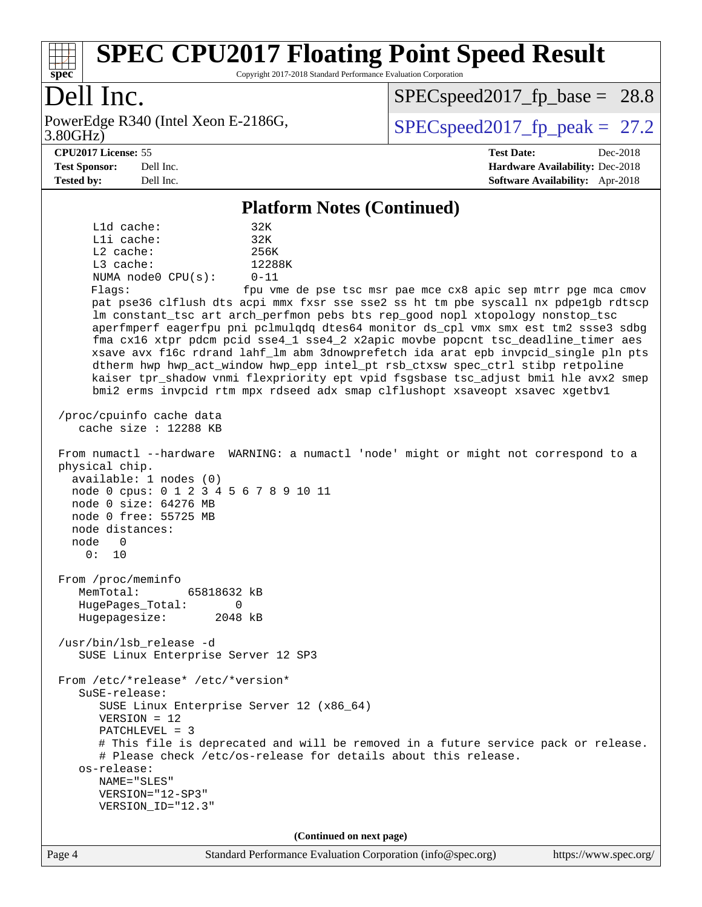

Copyright 2017-2018 Standard Performance Evaluation Corporation

# Dell Inc.

3.80GHz) PowerEdge R340 (Intel Xeon E-2186G,  $\vert$  [SPECspeed2017\\_fp\\_peak =](http://www.spec.org/auto/cpu2017/Docs/result-fields.html#SPECspeed2017fppeak) 27.2

 $SPECspeed2017<sub>fp</sub> base = 28.8$ 

#### **[CPU2017 License:](http://www.spec.org/auto/cpu2017/Docs/result-fields.html#CPU2017License)** 55 **[Test Date:](http://www.spec.org/auto/cpu2017/Docs/result-fields.html#TestDate)** Dec-2018

**[Test Sponsor:](http://www.spec.org/auto/cpu2017/Docs/result-fields.html#TestSponsor)** Dell Inc. **[Hardware Availability:](http://www.spec.org/auto/cpu2017/Docs/result-fields.html#HardwareAvailability)** Dec-2018 **[Tested by:](http://www.spec.org/auto/cpu2017/Docs/result-fields.html#Testedby)** Dell Inc. **[Software Availability:](http://www.spec.org/auto/cpu2017/Docs/result-fields.html#SoftwareAvailability)** Apr-2018

#### **[Platform Notes \(Continued\)](http://www.spec.org/auto/cpu2017/Docs/result-fields.html#PlatformNotes)**

 L1d cache: 32K L1i cache: 32K L2 cache: 256K L3 cache: 12288K NUMA node0 CPU(s): 0-11 Flags: fpu vme de pse tsc msr pae mce cx8 apic sep mtrr pge mca cmov pat pse36 clflush dts acpi mmx fxsr sse sse2 ss ht tm pbe syscall nx pdpe1gb rdtscp lm constant\_tsc art arch\_perfmon pebs bts rep\_good nopl xtopology nonstop\_tsc aperfmperf eagerfpu pni pclmulqdq dtes64 monitor ds\_cpl vmx smx est tm2 ssse3 sdbg fma cx16 xtpr pdcm pcid sse4\_1 sse4\_2 x2apic movbe popcnt tsc\_deadline\_timer aes xsave avx f16c rdrand lahf\_lm abm 3dnowprefetch ida arat epb invpcid\_single pln pts dtherm hwp hwp\_act\_window hwp\_epp intel\_pt rsb\_ctxsw spec\_ctrl stibp retpoline kaiser tpr\_shadow vnmi flexpriority ept vpid fsgsbase tsc\_adjust bmi1 hle avx2 smep bmi2 erms invpcid rtm mpx rdseed adx smap clflushopt xsaveopt xsavec xgetbv1 /proc/cpuinfo cache data cache size : 12288 KB From numactl --hardware WARNING: a numactl 'node' might or might not correspond to a physical chip. available: 1 nodes (0) node 0 cpus: 0 1 2 3 4 5 6 7 8 9 10 11 node 0 size: 64276 MB node 0 free: 55725 MB node distances: node 0 0: 10 From /proc/meminfo MemTotal: 65818632 kB HugePages\_Total: 0 Hugepagesize: 2048 kB /usr/bin/lsb\_release -d SUSE Linux Enterprise Server 12 SP3 From /etc/\*release\* /etc/\*version\* SuSE-release: SUSE Linux Enterprise Server 12 (x86\_64) VERSION = 12 PATCHLEVEL = 3 # This file is deprecated and will be removed in a future service pack or release. # Please check /etc/os-release for details about this release. os-release: NAME="SLES" VERSION="12-SP3" VERSION\_ID="12.3" **(Continued on next page)**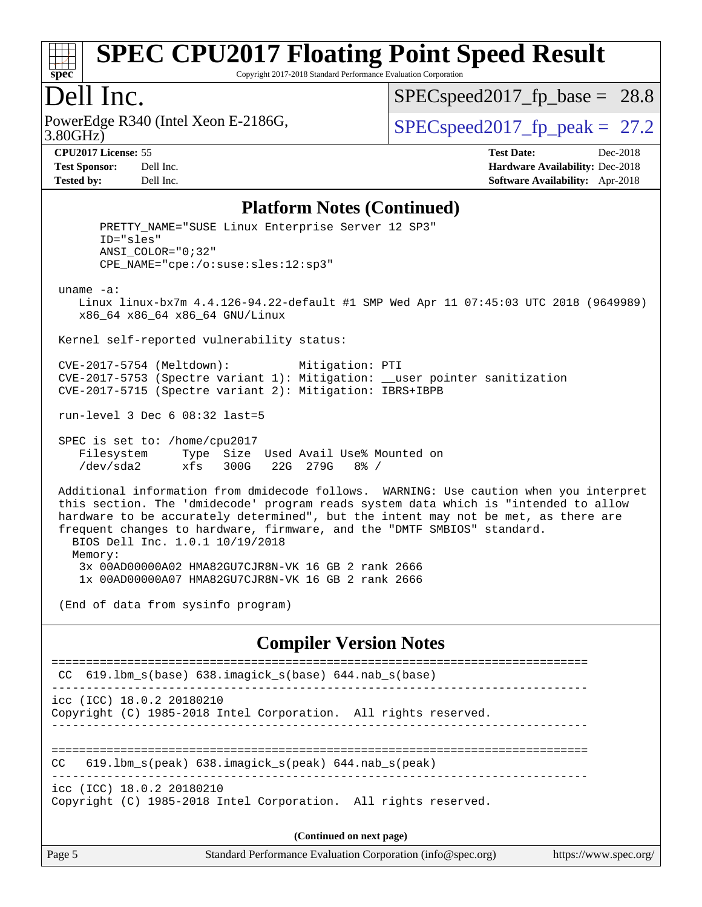

Copyright 2017-2018 Standard Performance Evaluation Corporation

### Dell Inc.

3.80GHz) PowerEdge R340 (Intel Xeon E-2186G,  $\vert$  [SPECspeed2017\\_fp\\_peak =](http://www.spec.org/auto/cpu2017/Docs/result-fields.html#SPECspeed2017fppeak) 27.2

 $SPECspeed2017_fp\_base = 28.8$ 

**[CPU2017 License:](http://www.spec.org/auto/cpu2017/Docs/result-fields.html#CPU2017License)** 55 **[Test Date:](http://www.spec.org/auto/cpu2017/Docs/result-fields.html#TestDate)** Dec-2018 **[Test Sponsor:](http://www.spec.org/auto/cpu2017/Docs/result-fields.html#TestSponsor)** Dell Inc. **[Hardware Availability:](http://www.spec.org/auto/cpu2017/Docs/result-fields.html#HardwareAvailability)** Dec-2018 **[Tested by:](http://www.spec.org/auto/cpu2017/Docs/result-fields.html#Testedby)** Dell Inc. **[Software Availability:](http://www.spec.org/auto/cpu2017/Docs/result-fields.html#SoftwareAvailability)** Apr-2018

#### **[Platform Notes \(Continued\)](http://www.spec.org/auto/cpu2017/Docs/result-fields.html#PlatformNotes)**

PRETTY NAME="SUSE Linux Enterprise Server 12 SP3" ID="sles" ANSI\_COLOR="0;32" CPE\_NAME="cpe:/o:suse:sles:12:sp3" uname -a: Linux linux-bx7m 4.4.126-94.22-default #1 SMP Wed Apr 11 07:45:03 UTC 2018 (9649989) x86\_64 x86\_64 x86\_64 GNU/Linux Kernel self-reported vulnerability status: CVE-2017-5754 (Meltdown): Mitigation: PTI CVE-2017-5753 (Spectre variant 1): Mitigation: \_\_user pointer sanitization CVE-2017-5715 (Spectre variant 2): Mitigation: IBRS+IBPB run-level 3 Dec 6 08:32 last=5 SPEC is set to: /home/cpu2017 Filesystem Type Size Used Avail Use% Mounted on /dev/sda2 xfs 300G 22G 279G 8% / Additional information from dmidecode follows. WARNING: Use caution when you interpret this section. The 'dmidecode' program reads system data which is "intended to allow hardware to be accurately determined", but the intent may not be met, as there are frequent changes to hardware, firmware, and the "DMTF SMBIOS" standard. BIOS Dell Inc. 1.0.1 10/19/2018 Memory: 3x 00AD00000A02 HMA82GU7CJR8N-VK 16 GB 2 rank 2666 1x 00AD00000A07 HMA82GU7CJR8N-VK 16 GB 2 rank 2666 (End of data from sysinfo program) **[Compiler Version Notes](http://www.spec.org/auto/cpu2017/Docs/result-fields.html#CompilerVersionNotes)** ============================================================================== CC 619.lbm\_s(base) 638.imagick\_s(base) 644.nab\_s(base) ----------------------------------------------------------------------------- icc (ICC) 18.0.2 20180210 Copyright (C) 1985-2018 Intel Corporation. All rights reserved. ------------------------------------------------------------------------------ ============================================================================== CC 619.lbm\_s(peak) 638.imagick\_s(peak) 644.nab\_s(peak) ----------------------------------------------------------------------------- icc (ICC) 18.0.2 20180210 Copyright (C) 1985-2018 Intel Corporation. All rights reserved.

**(Continued on next page)**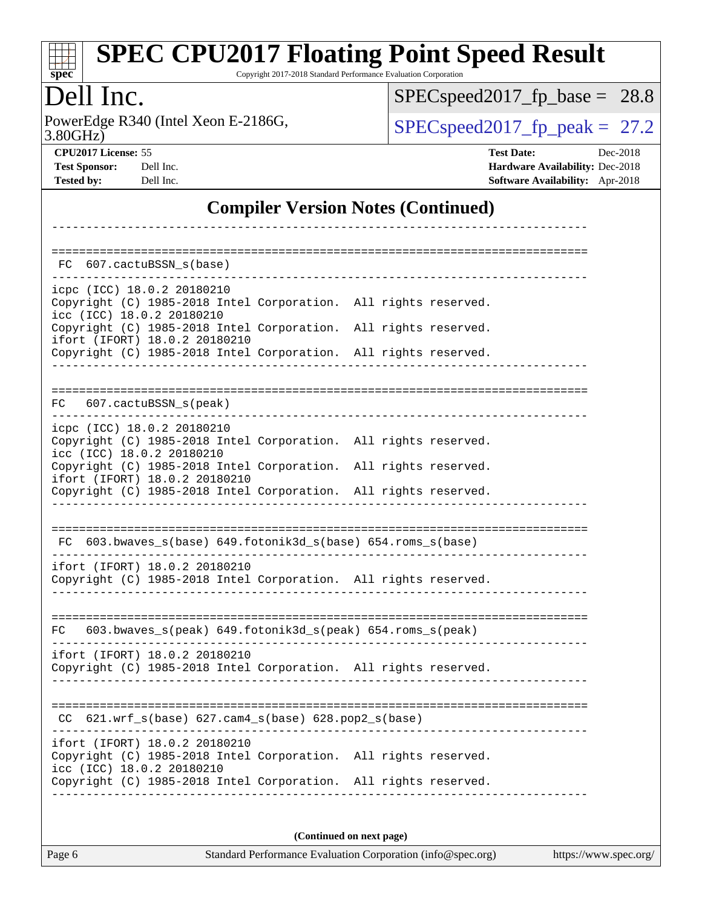| S<br>U<br>۱c<br>L. |  |  |  |  |  |
|--------------------|--|--|--|--|--|

Copyright 2017-2018 Standard Performance Evaluation Corporation

# Dell Inc.

PowerEdge R340 (Intel Xeon E-2186G, 3.80GHz)

[SPECspeed2017\\_fp\\_base =](http://www.spec.org/auto/cpu2017/Docs/result-fields.html#SPECspeed2017fpbase) 28.8

 $SPECspeed2017_fp\_peak = 27.2$ 

| <b>CPU2017 License: 55</b>    |                   |
|-------------------------------|-------------------|
| $\mathbf{m}$ and $\mathbf{m}$ | $\mathbf{\Gamma}$ |

**[CPU2017 License:](http://www.spec.org/auto/cpu2017/Docs/result-fields.html#CPU2017License)** 55 **[Test Date:](http://www.spec.org/auto/cpu2017/Docs/result-fields.html#TestDate)** Dec-2018 **[Test Sponsor:](http://www.spec.org/auto/cpu2017/Docs/result-fields.html#TestSponsor)** Dell Inc. **[Hardware Availability:](http://www.spec.org/auto/cpu2017/Docs/result-fields.html#HardwareAvailability)** Dec-2018 **[Tested by:](http://www.spec.org/auto/cpu2017/Docs/result-fields.html#Testedby)** Dell Inc. **[Software Availability:](http://www.spec.org/auto/cpu2017/Docs/result-fields.html#SoftwareAvailability)** Apr-2018

### **[Compiler Version Notes \(Continued\)](http://www.spec.org/auto/cpu2017/Docs/result-fields.html#CompilerVersionNotes)**

| 607.cactuBSSN_s(base)<br>FC                                                                                                                                         |                                                           |                                                                 |
|---------------------------------------------------------------------------------------------------------------------------------------------------------------------|-----------------------------------------------------------|-----------------------------------------------------------------|
| icpc (ICC) 18.0.2 20180210<br>Copyright (C) 1985-2018 Intel Corporation. All rights reserved.<br>icc (ICC) 18.0.2 20180210                                          |                                                           |                                                                 |
| Copyright (C) 1985-2018 Intel Corporation. All rights reserved.<br>ifort (IFORT) 18.0.2 20180210<br>Copyright (C) 1985-2018 Intel Corporation. All rights reserved. |                                                           |                                                                 |
|                                                                                                                                                                     |                                                           |                                                                 |
| FC 607.cactuBSSN_s(peak)                                                                                                                                            |                                                           | ============================                                    |
| icpc (ICC) 18.0.2 20180210<br>Copyright (C) 1985-2018 Intel Corporation. All rights reserved.<br>icc (ICC) 18.0.2 20180210                                          |                                                           |                                                                 |
| Copyright (C) 1985-2018 Intel Corporation. All rights reserved.<br>ifort (IFORT) 18.0.2 20180210                                                                    |                                                           |                                                                 |
| Copyright (C) 1985-2018 Intel Corporation. All rights reserved.                                                                                                     |                                                           |                                                                 |
| FC 603.bwaves_s(base) 649.fotonik3d_s(base) 654.roms_s(base)                                                                                                        |                                                           |                                                                 |
| ifort (IFORT) 18.0.2 20180210<br>Copyright (C) 1985-2018 Intel Corporation. All rights reserved.                                                                    |                                                           |                                                                 |
| FC.                                                                                                                                                                 | 603.bwaves_s(peak) 649.fotonik3d_s(peak) 654.roms_s(peak) |                                                                 |
| ifort (IFORT) 18.0.2 20180210<br>Copyright (C) 1985-2018 Intel Corporation. All rights reserved.                                                                    |                                                           |                                                                 |
| CC.                                                                                                                                                                 | $621.wrf_s(base)$ $627.cam4_s(base)$ $628.pop2_s(base)$   |                                                                 |
| ifort (IFORT) 18.0.2 20180210<br>Copyright (C) 1985-2018 Intel Corporation. All rights reserved.<br>icc (ICC) 18.0.2 20180210                                       |                                                           |                                                                 |
|                                                                                                                                                                     |                                                           | Copyright (C) 1985-2018 Intel Corporation. All rights reserved. |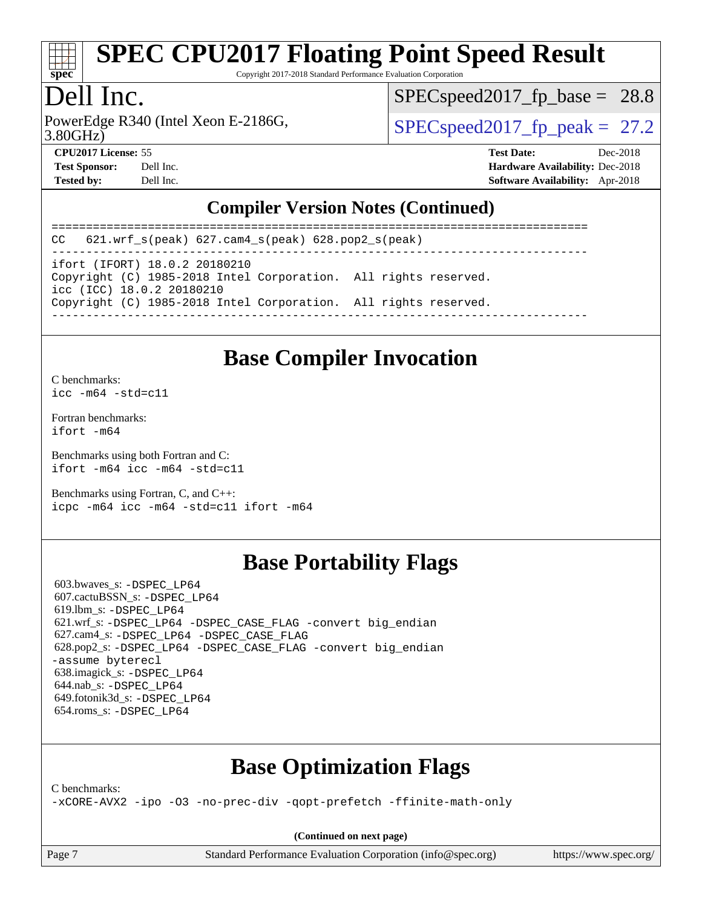

Copyright 2017-2018 Standard Performance Evaluation Corporation

## Dell Inc.

3.80GHz) PowerEdge R340 (Intel Xeon E-2186G,  $\vert$  [SPECspeed2017\\_fp\\_peak =](http://www.spec.org/auto/cpu2017/Docs/result-fields.html#SPECspeed2017fppeak) 27.2

 $SPECspeed2017<sub>fp</sub> base = 28.8$ 

**[CPU2017 License:](http://www.spec.org/auto/cpu2017/Docs/result-fields.html#CPU2017License)** 55 **[Test Date:](http://www.spec.org/auto/cpu2017/Docs/result-fields.html#TestDate)** Dec-2018 **[Test Sponsor:](http://www.spec.org/auto/cpu2017/Docs/result-fields.html#TestSponsor)** Dell Inc. **[Hardware Availability:](http://www.spec.org/auto/cpu2017/Docs/result-fields.html#HardwareAvailability)** Dec-2018 **[Tested by:](http://www.spec.org/auto/cpu2017/Docs/result-fields.html#Testedby)** Dell Inc. **[Software Availability:](http://www.spec.org/auto/cpu2017/Docs/result-fields.html#SoftwareAvailability)** Apr-2018

### **[Compiler Version Notes \(Continued\)](http://www.spec.org/auto/cpu2017/Docs/result-fields.html#CompilerVersionNotes)**

============================================================================== CC 621.wrf\_s(peak) 627.cam4\_s(peak) 628.pop2\_s(peak) ----------------------------------------------------------------------------- ifort (IFORT) 18.0.2 20180210 Copyright (C) 1985-2018 Intel Corporation. All rights reserved. icc (ICC) 18.0.2 20180210 Copyright (C) 1985-2018 Intel Corporation. All rights reserved. ------------------------------------------------------------------------------

### **[Base Compiler Invocation](http://www.spec.org/auto/cpu2017/Docs/result-fields.html#BaseCompilerInvocation)**

[C benchmarks](http://www.spec.org/auto/cpu2017/Docs/result-fields.html#Cbenchmarks): [icc -m64 -std=c11](http://www.spec.org/cpu2017/results/res2018q4/cpu2017-20181210-10223.flags.html#user_CCbase_intel_icc_64bit_c11_33ee0cdaae7deeeab2a9725423ba97205ce30f63b9926c2519791662299b76a0318f32ddfffdc46587804de3178b4f9328c46fa7c2b0cd779d7a61945c91cd35)

[Fortran benchmarks](http://www.spec.org/auto/cpu2017/Docs/result-fields.html#Fortranbenchmarks): [ifort -m64](http://www.spec.org/cpu2017/results/res2018q4/cpu2017-20181210-10223.flags.html#user_FCbase_intel_ifort_64bit_24f2bb282fbaeffd6157abe4f878425411749daecae9a33200eee2bee2fe76f3b89351d69a8130dd5949958ce389cf37ff59a95e7a40d588e8d3a57e0c3fd751)

[Benchmarks using both Fortran and C](http://www.spec.org/auto/cpu2017/Docs/result-fields.html#BenchmarksusingbothFortranandC): [ifort -m64](http://www.spec.org/cpu2017/results/res2018q4/cpu2017-20181210-10223.flags.html#user_CC_FCbase_intel_ifort_64bit_24f2bb282fbaeffd6157abe4f878425411749daecae9a33200eee2bee2fe76f3b89351d69a8130dd5949958ce389cf37ff59a95e7a40d588e8d3a57e0c3fd751) [icc -m64 -std=c11](http://www.spec.org/cpu2017/results/res2018q4/cpu2017-20181210-10223.flags.html#user_CC_FCbase_intel_icc_64bit_c11_33ee0cdaae7deeeab2a9725423ba97205ce30f63b9926c2519791662299b76a0318f32ddfffdc46587804de3178b4f9328c46fa7c2b0cd779d7a61945c91cd35)

[Benchmarks using Fortran, C, and C++:](http://www.spec.org/auto/cpu2017/Docs/result-fields.html#BenchmarksusingFortranCandCXX) [icpc -m64](http://www.spec.org/cpu2017/results/res2018q4/cpu2017-20181210-10223.flags.html#user_CC_CXX_FCbase_intel_icpc_64bit_4ecb2543ae3f1412ef961e0650ca070fec7b7afdcd6ed48761b84423119d1bf6bdf5cad15b44d48e7256388bc77273b966e5eb805aefd121eb22e9299b2ec9d9) [icc -m64 -std=c11](http://www.spec.org/cpu2017/results/res2018q4/cpu2017-20181210-10223.flags.html#user_CC_CXX_FCbase_intel_icc_64bit_c11_33ee0cdaae7deeeab2a9725423ba97205ce30f63b9926c2519791662299b76a0318f32ddfffdc46587804de3178b4f9328c46fa7c2b0cd779d7a61945c91cd35) [ifort -m64](http://www.spec.org/cpu2017/results/res2018q4/cpu2017-20181210-10223.flags.html#user_CC_CXX_FCbase_intel_ifort_64bit_24f2bb282fbaeffd6157abe4f878425411749daecae9a33200eee2bee2fe76f3b89351d69a8130dd5949958ce389cf37ff59a95e7a40d588e8d3a57e0c3fd751)

# **[Base Portability Flags](http://www.spec.org/auto/cpu2017/Docs/result-fields.html#BasePortabilityFlags)**

 603.bwaves\_s: [-DSPEC\\_LP64](http://www.spec.org/cpu2017/results/res2018q4/cpu2017-20181210-10223.flags.html#suite_basePORTABILITY603_bwaves_s_DSPEC_LP64) 607.cactuBSSN\_s: [-DSPEC\\_LP64](http://www.spec.org/cpu2017/results/res2018q4/cpu2017-20181210-10223.flags.html#suite_basePORTABILITY607_cactuBSSN_s_DSPEC_LP64) 619.lbm\_s: [-DSPEC\\_LP64](http://www.spec.org/cpu2017/results/res2018q4/cpu2017-20181210-10223.flags.html#suite_basePORTABILITY619_lbm_s_DSPEC_LP64) 621.wrf\_s: [-DSPEC\\_LP64](http://www.spec.org/cpu2017/results/res2018q4/cpu2017-20181210-10223.flags.html#suite_basePORTABILITY621_wrf_s_DSPEC_LP64) [-DSPEC\\_CASE\\_FLAG](http://www.spec.org/cpu2017/results/res2018q4/cpu2017-20181210-10223.flags.html#b621.wrf_s_baseCPORTABILITY_DSPEC_CASE_FLAG) [-convert big\\_endian](http://www.spec.org/cpu2017/results/res2018q4/cpu2017-20181210-10223.flags.html#user_baseFPORTABILITY621_wrf_s_convert_big_endian_c3194028bc08c63ac5d04de18c48ce6d347e4e562e8892b8bdbdc0214820426deb8554edfa529a3fb25a586e65a3d812c835984020483e7e73212c4d31a38223) 627.cam4\_s: [-DSPEC\\_LP64](http://www.spec.org/cpu2017/results/res2018q4/cpu2017-20181210-10223.flags.html#suite_basePORTABILITY627_cam4_s_DSPEC_LP64) [-DSPEC\\_CASE\\_FLAG](http://www.spec.org/cpu2017/results/res2018q4/cpu2017-20181210-10223.flags.html#b627.cam4_s_baseCPORTABILITY_DSPEC_CASE_FLAG) 628.pop2\_s: [-DSPEC\\_LP64](http://www.spec.org/cpu2017/results/res2018q4/cpu2017-20181210-10223.flags.html#suite_basePORTABILITY628_pop2_s_DSPEC_LP64) [-DSPEC\\_CASE\\_FLAG](http://www.spec.org/cpu2017/results/res2018q4/cpu2017-20181210-10223.flags.html#b628.pop2_s_baseCPORTABILITY_DSPEC_CASE_FLAG) [-convert big\\_endian](http://www.spec.org/cpu2017/results/res2018q4/cpu2017-20181210-10223.flags.html#user_baseFPORTABILITY628_pop2_s_convert_big_endian_c3194028bc08c63ac5d04de18c48ce6d347e4e562e8892b8bdbdc0214820426deb8554edfa529a3fb25a586e65a3d812c835984020483e7e73212c4d31a38223) [-assume byterecl](http://www.spec.org/cpu2017/results/res2018q4/cpu2017-20181210-10223.flags.html#user_baseFPORTABILITY628_pop2_s_assume_byterecl_7e47d18b9513cf18525430bbf0f2177aa9bf368bc7a059c09b2c06a34b53bd3447c950d3f8d6c70e3faf3a05c8557d66a5798b567902e8849adc142926523472) 638.imagick\_s: [-DSPEC\\_LP64](http://www.spec.org/cpu2017/results/res2018q4/cpu2017-20181210-10223.flags.html#suite_basePORTABILITY638_imagick_s_DSPEC_LP64) 644.nab\_s: [-DSPEC\\_LP64](http://www.spec.org/cpu2017/results/res2018q4/cpu2017-20181210-10223.flags.html#suite_basePORTABILITY644_nab_s_DSPEC_LP64) 649.fotonik3d\_s: [-DSPEC\\_LP64](http://www.spec.org/cpu2017/results/res2018q4/cpu2017-20181210-10223.flags.html#suite_basePORTABILITY649_fotonik3d_s_DSPEC_LP64) 654.roms\_s: [-DSPEC\\_LP64](http://www.spec.org/cpu2017/results/res2018q4/cpu2017-20181210-10223.flags.html#suite_basePORTABILITY654_roms_s_DSPEC_LP64)

# **[Base Optimization Flags](http://www.spec.org/auto/cpu2017/Docs/result-fields.html#BaseOptimizationFlags)**

[C benchmarks](http://www.spec.org/auto/cpu2017/Docs/result-fields.html#Cbenchmarks):

[-xCORE-AVX2](http://www.spec.org/cpu2017/results/res2018q4/cpu2017-20181210-10223.flags.html#user_CCbase_f-xCORE-AVX2) [-ipo](http://www.spec.org/cpu2017/results/res2018q4/cpu2017-20181210-10223.flags.html#user_CCbase_f-ipo) [-O3](http://www.spec.org/cpu2017/results/res2018q4/cpu2017-20181210-10223.flags.html#user_CCbase_f-O3) [-no-prec-div](http://www.spec.org/cpu2017/results/res2018q4/cpu2017-20181210-10223.flags.html#user_CCbase_f-no-prec-div) [-qopt-prefetch](http://www.spec.org/cpu2017/results/res2018q4/cpu2017-20181210-10223.flags.html#user_CCbase_f-qopt-prefetch) [-ffinite-math-only](http://www.spec.org/cpu2017/results/res2018q4/cpu2017-20181210-10223.flags.html#user_CCbase_f_finite_math_only_cb91587bd2077682c4b38af759c288ed7c732db004271a9512da14a4f8007909a5f1427ecbf1a0fb78ff2a814402c6114ac565ca162485bbcae155b5e4258871)

**(Continued on next page)**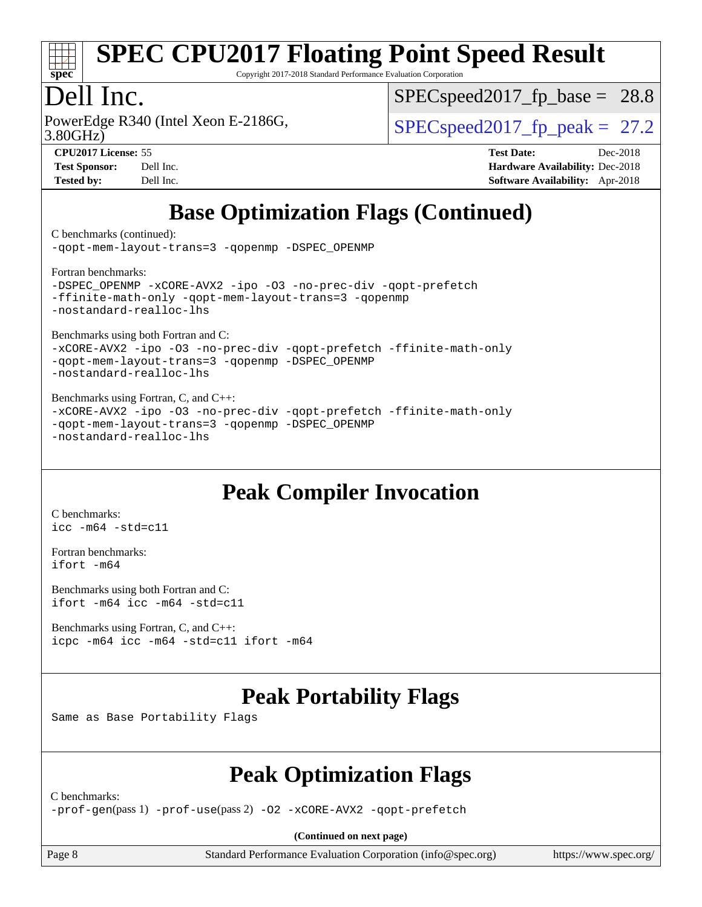

Copyright 2017-2018 Standard Performance Evaluation Corporation

# Dell Inc.

3.80GHz) PowerEdge R340 (Intel Xeon E-2186G,  $\vert$  [SPECspeed2017\\_fp\\_peak =](http://www.spec.org/auto/cpu2017/Docs/result-fields.html#SPECspeed2017fppeak) 27.2

 $SPECspeed2017<sub>fp</sub> base = 28.8$ 

**[CPU2017 License:](http://www.spec.org/auto/cpu2017/Docs/result-fields.html#CPU2017License)** 55 **[Test Date:](http://www.spec.org/auto/cpu2017/Docs/result-fields.html#TestDate)** Dec-2018 **[Test Sponsor:](http://www.spec.org/auto/cpu2017/Docs/result-fields.html#TestSponsor)** Dell Inc. **[Hardware Availability:](http://www.spec.org/auto/cpu2017/Docs/result-fields.html#HardwareAvailability)** Dec-2018 **[Tested by:](http://www.spec.org/auto/cpu2017/Docs/result-fields.html#Testedby)** Dell Inc. **[Software Availability:](http://www.spec.org/auto/cpu2017/Docs/result-fields.html#SoftwareAvailability)** Apr-2018

# **[Base Optimization Flags \(Continued\)](http://www.spec.org/auto/cpu2017/Docs/result-fields.html#BaseOptimizationFlags)**

[C benchmarks](http://www.spec.org/auto/cpu2017/Docs/result-fields.html#Cbenchmarks) (continued):

[-qopt-mem-layout-trans=3](http://www.spec.org/cpu2017/results/res2018q4/cpu2017-20181210-10223.flags.html#user_CCbase_f-qopt-mem-layout-trans_de80db37974c74b1f0e20d883f0b675c88c3b01e9d123adea9b28688d64333345fb62bc4a798493513fdb68f60282f9a726aa07f478b2f7113531aecce732043) [-qopenmp](http://www.spec.org/cpu2017/results/res2018q4/cpu2017-20181210-10223.flags.html#user_CCbase_qopenmp_16be0c44f24f464004c6784a7acb94aca937f053568ce72f94b139a11c7c168634a55f6653758ddd83bcf7b8463e8028bb0b48b77bcddc6b78d5d95bb1df2967) [-DSPEC\\_OPENMP](http://www.spec.org/cpu2017/results/res2018q4/cpu2017-20181210-10223.flags.html#suite_CCbase_DSPEC_OPENMP)

[Fortran benchmarks](http://www.spec.org/auto/cpu2017/Docs/result-fields.html#Fortranbenchmarks):

[-DSPEC\\_OPENMP](http://www.spec.org/cpu2017/results/res2018q4/cpu2017-20181210-10223.flags.html#suite_FCbase_DSPEC_OPENMP) [-xCORE-AVX2](http://www.spec.org/cpu2017/results/res2018q4/cpu2017-20181210-10223.flags.html#user_FCbase_f-xCORE-AVX2) [-ipo](http://www.spec.org/cpu2017/results/res2018q4/cpu2017-20181210-10223.flags.html#user_FCbase_f-ipo) [-O3](http://www.spec.org/cpu2017/results/res2018q4/cpu2017-20181210-10223.flags.html#user_FCbase_f-O3) [-no-prec-div](http://www.spec.org/cpu2017/results/res2018q4/cpu2017-20181210-10223.flags.html#user_FCbase_f-no-prec-div) [-qopt-prefetch](http://www.spec.org/cpu2017/results/res2018q4/cpu2017-20181210-10223.flags.html#user_FCbase_f-qopt-prefetch) [-ffinite-math-only](http://www.spec.org/cpu2017/results/res2018q4/cpu2017-20181210-10223.flags.html#user_FCbase_f_finite_math_only_cb91587bd2077682c4b38af759c288ed7c732db004271a9512da14a4f8007909a5f1427ecbf1a0fb78ff2a814402c6114ac565ca162485bbcae155b5e4258871) [-qopt-mem-layout-trans=3](http://www.spec.org/cpu2017/results/res2018q4/cpu2017-20181210-10223.flags.html#user_FCbase_f-qopt-mem-layout-trans_de80db37974c74b1f0e20d883f0b675c88c3b01e9d123adea9b28688d64333345fb62bc4a798493513fdb68f60282f9a726aa07f478b2f7113531aecce732043) [-qopenmp](http://www.spec.org/cpu2017/results/res2018q4/cpu2017-20181210-10223.flags.html#user_FCbase_qopenmp_16be0c44f24f464004c6784a7acb94aca937f053568ce72f94b139a11c7c168634a55f6653758ddd83bcf7b8463e8028bb0b48b77bcddc6b78d5d95bb1df2967) [-nostandard-realloc-lhs](http://www.spec.org/cpu2017/results/res2018q4/cpu2017-20181210-10223.flags.html#user_FCbase_f_2003_std_realloc_82b4557e90729c0f113870c07e44d33d6f5a304b4f63d4c15d2d0f1fab99f5daaed73bdb9275d9ae411527f28b936061aa8b9c8f2d63842963b95c9dd6426b8a)

[Benchmarks using both Fortran and C](http://www.spec.org/auto/cpu2017/Docs/result-fields.html#BenchmarksusingbothFortranandC):

[-xCORE-AVX2](http://www.spec.org/cpu2017/results/res2018q4/cpu2017-20181210-10223.flags.html#user_CC_FCbase_f-xCORE-AVX2) [-ipo](http://www.spec.org/cpu2017/results/res2018q4/cpu2017-20181210-10223.flags.html#user_CC_FCbase_f-ipo) [-O3](http://www.spec.org/cpu2017/results/res2018q4/cpu2017-20181210-10223.flags.html#user_CC_FCbase_f-O3) [-no-prec-div](http://www.spec.org/cpu2017/results/res2018q4/cpu2017-20181210-10223.flags.html#user_CC_FCbase_f-no-prec-div) [-qopt-prefetch](http://www.spec.org/cpu2017/results/res2018q4/cpu2017-20181210-10223.flags.html#user_CC_FCbase_f-qopt-prefetch) [-ffinite-math-only](http://www.spec.org/cpu2017/results/res2018q4/cpu2017-20181210-10223.flags.html#user_CC_FCbase_f_finite_math_only_cb91587bd2077682c4b38af759c288ed7c732db004271a9512da14a4f8007909a5f1427ecbf1a0fb78ff2a814402c6114ac565ca162485bbcae155b5e4258871) [-qopt-mem-layout-trans=3](http://www.spec.org/cpu2017/results/res2018q4/cpu2017-20181210-10223.flags.html#user_CC_FCbase_f-qopt-mem-layout-trans_de80db37974c74b1f0e20d883f0b675c88c3b01e9d123adea9b28688d64333345fb62bc4a798493513fdb68f60282f9a726aa07f478b2f7113531aecce732043) [-qopenmp](http://www.spec.org/cpu2017/results/res2018q4/cpu2017-20181210-10223.flags.html#user_CC_FCbase_qopenmp_16be0c44f24f464004c6784a7acb94aca937f053568ce72f94b139a11c7c168634a55f6653758ddd83bcf7b8463e8028bb0b48b77bcddc6b78d5d95bb1df2967) [-DSPEC\\_OPENMP](http://www.spec.org/cpu2017/results/res2018q4/cpu2017-20181210-10223.flags.html#suite_CC_FCbase_DSPEC_OPENMP) [-nostandard-realloc-lhs](http://www.spec.org/cpu2017/results/res2018q4/cpu2017-20181210-10223.flags.html#user_CC_FCbase_f_2003_std_realloc_82b4557e90729c0f113870c07e44d33d6f5a304b4f63d4c15d2d0f1fab99f5daaed73bdb9275d9ae411527f28b936061aa8b9c8f2d63842963b95c9dd6426b8a)

[Benchmarks using Fortran, C, and C++:](http://www.spec.org/auto/cpu2017/Docs/result-fields.html#BenchmarksusingFortranCandCXX) [-xCORE-AVX2](http://www.spec.org/cpu2017/results/res2018q4/cpu2017-20181210-10223.flags.html#user_CC_CXX_FCbase_f-xCORE-AVX2) [-ipo](http://www.spec.org/cpu2017/results/res2018q4/cpu2017-20181210-10223.flags.html#user_CC_CXX_FCbase_f-ipo) [-O3](http://www.spec.org/cpu2017/results/res2018q4/cpu2017-20181210-10223.flags.html#user_CC_CXX_FCbase_f-O3) [-no-prec-div](http://www.spec.org/cpu2017/results/res2018q4/cpu2017-20181210-10223.flags.html#user_CC_CXX_FCbase_f-no-prec-div) [-qopt-prefetch](http://www.spec.org/cpu2017/results/res2018q4/cpu2017-20181210-10223.flags.html#user_CC_CXX_FCbase_f-qopt-prefetch) [-ffinite-math-only](http://www.spec.org/cpu2017/results/res2018q4/cpu2017-20181210-10223.flags.html#user_CC_CXX_FCbase_f_finite_math_only_cb91587bd2077682c4b38af759c288ed7c732db004271a9512da14a4f8007909a5f1427ecbf1a0fb78ff2a814402c6114ac565ca162485bbcae155b5e4258871) [-qopt-mem-layout-trans=3](http://www.spec.org/cpu2017/results/res2018q4/cpu2017-20181210-10223.flags.html#user_CC_CXX_FCbase_f-qopt-mem-layout-trans_de80db37974c74b1f0e20d883f0b675c88c3b01e9d123adea9b28688d64333345fb62bc4a798493513fdb68f60282f9a726aa07f478b2f7113531aecce732043) [-qopenmp](http://www.spec.org/cpu2017/results/res2018q4/cpu2017-20181210-10223.flags.html#user_CC_CXX_FCbase_qopenmp_16be0c44f24f464004c6784a7acb94aca937f053568ce72f94b139a11c7c168634a55f6653758ddd83bcf7b8463e8028bb0b48b77bcddc6b78d5d95bb1df2967) [-DSPEC\\_OPENMP](http://www.spec.org/cpu2017/results/res2018q4/cpu2017-20181210-10223.flags.html#suite_CC_CXX_FCbase_DSPEC_OPENMP) [-nostandard-realloc-lhs](http://www.spec.org/cpu2017/results/res2018q4/cpu2017-20181210-10223.flags.html#user_CC_CXX_FCbase_f_2003_std_realloc_82b4557e90729c0f113870c07e44d33d6f5a304b4f63d4c15d2d0f1fab99f5daaed73bdb9275d9ae411527f28b936061aa8b9c8f2d63842963b95c9dd6426b8a)

# **[Peak Compiler Invocation](http://www.spec.org/auto/cpu2017/Docs/result-fields.html#PeakCompilerInvocation)**

[C benchmarks](http://www.spec.org/auto/cpu2017/Docs/result-fields.html#Cbenchmarks): [icc -m64 -std=c11](http://www.spec.org/cpu2017/results/res2018q4/cpu2017-20181210-10223.flags.html#user_CCpeak_intel_icc_64bit_c11_33ee0cdaae7deeeab2a9725423ba97205ce30f63b9926c2519791662299b76a0318f32ddfffdc46587804de3178b4f9328c46fa7c2b0cd779d7a61945c91cd35)

[Fortran benchmarks](http://www.spec.org/auto/cpu2017/Docs/result-fields.html#Fortranbenchmarks): [ifort -m64](http://www.spec.org/cpu2017/results/res2018q4/cpu2017-20181210-10223.flags.html#user_FCpeak_intel_ifort_64bit_24f2bb282fbaeffd6157abe4f878425411749daecae9a33200eee2bee2fe76f3b89351d69a8130dd5949958ce389cf37ff59a95e7a40d588e8d3a57e0c3fd751)

[Benchmarks using both Fortran and C](http://www.spec.org/auto/cpu2017/Docs/result-fields.html#BenchmarksusingbothFortranandC): [ifort -m64](http://www.spec.org/cpu2017/results/res2018q4/cpu2017-20181210-10223.flags.html#user_CC_FCpeak_intel_ifort_64bit_24f2bb282fbaeffd6157abe4f878425411749daecae9a33200eee2bee2fe76f3b89351d69a8130dd5949958ce389cf37ff59a95e7a40d588e8d3a57e0c3fd751) [icc -m64 -std=c11](http://www.spec.org/cpu2017/results/res2018q4/cpu2017-20181210-10223.flags.html#user_CC_FCpeak_intel_icc_64bit_c11_33ee0cdaae7deeeab2a9725423ba97205ce30f63b9926c2519791662299b76a0318f32ddfffdc46587804de3178b4f9328c46fa7c2b0cd779d7a61945c91cd35)

[Benchmarks using Fortran, C, and C++:](http://www.spec.org/auto/cpu2017/Docs/result-fields.html#BenchmarksusingFortranCandCXX) [icpc -m64](http://www.spec.org/cpu2017/results/res2018q4/cpu2017-20181210-10223.flags.html#user_CC_CXX_FCpeak_intel_icpc_64bit_4ecb2543ae3f1412ef961e0650ca070fec7b7afdcd6ed48761b84423119d1bf6bdf5cad15b44d48e7256388bc77273b966e5eb805aefd121eb22e9299b2ec9d9) [icc -m64 -std=c11](http://www.spec.org/cpu2017/results/res2018q4/cpu2017-20181210-10223.flags.html#user_CC_CXX_FCpeak_intel_icc_64bit_c11_33ee0cdaae7deeeab2a9725423ba97205ce30f63b9926c2519791662299b76a0318f32ddfffdc46587804de3178b4f9328c46fa7c2b0cd779d7a61945c91cd35) [ifort -m64](http://www.spec.org/cpu2017/results/res2018q4/cpu2017-20181210-10223.flags.html#user_CC_CXX_FCpeak_intel_ifort_64bit_24f2bb282fbaeffd6157abe4f878425411749daecae9a33200eee2bee2fe76f3b89351d69a8130dd5949958ce389cf37ff59a95e7a40d588e8d3a57e0c3fd751)

# **[Peak Portability Flags](http://www.spec.org/auto/cpu2017/Docs/result-fields.html#PeakPortabilityFlags)**

Same as Base Portability Flags

# **[Peak Optimization Flags](http://www.spec.org/auto/cpu2017/Docs/result-fields.html#PeakOptimizationFlags)**

[C benchmarks:](http://www.spec.org/auto/cpu2017/Docs/result-fields.html#Cbenchmarks)

[-prof-gen](http://www.spec.org/cpu2017/results/res2018q4/cpu2017-20181210-10223.flags.html#user_CCpeak_prof_gen_5aa4926d6013ddb2a31985c654b3eb18169fc0c6952a63635c234f711e6e63dd76e94ad52365559451ec499a2cdb89e4dc58ba4c67ef54ca681ffbe1461d6b36)(pass 1) [-prof-use](http://www.spec.org/cpu2017/results/res2018q4/cpu2017-20181210-10223.flags.html#user_CCpeak_prof_use_1a21ceae95f36a2b53c25747139a6c16ca95bd9def2a207b4f0849963b97e94f5260e30a0c64f4bb623698870e679ca08317ef8150905d41bd88c6f78df73f19)(pass 2) [-O2](http://www.spec.org/cpu2017/results/res2018q4/cpu2017-20181210-10223.flags.html#user_CCpeak_f-O2) [-xCORE-AVX2](http://www.spec.org/cpu2017/results/res2018q4/cpu2017-20181210-10223.flags.html#user_CCpeak_f-xCORE-AVX2) [-qopt-prefetch](http://www.spec.org/cpu2017/results/res2018q4/cpu2017-20181210-10223.flags.html#user_CCpeak_f-qopt-prefetch)

**(Continued on next page)**